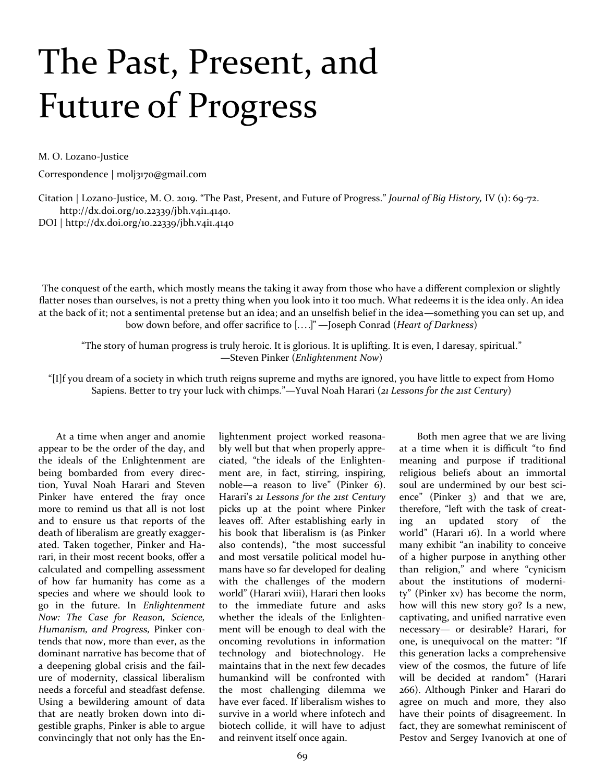## The Past, Present, and Future of Progress

M. O. Lozano-Justice

Correspondence | molj3170@gmail.com

Citation | Lozano-Justice, M. O. 2019. "The Past, Present, and Future of Progress." *Journal of Big History,* IV (1): 69-72. http://dx.doi.org/10.22339/jbh.v4i1.4140.

DOI |<http://dx.doi.org/10.22339/jbh.v4i1.4140>

The conquest of the earth, which mostly means the taking it away from those who have a different complexion or slightly flatter noses than ourselves, is not a pretty thing when you look into it too much. What redeems it is the idea only. An idea at the back of it; not a sentimental pretense but an idea; and an unselfish belief in the idea—something you can set up, and bow down before, and offer sacrifice to [. . . .]" —Joseph Conrad (*Heart of Darkness*)

"The story of human progress is truly heroic. It is glorious. It is uplifting. It is even, I daresay, spiritual." —Steven Pinker (*Enlightenment Now*)

"[I]f you dream of a society in which truth reigns supreme and myths are ignored, you have little to expect from Homo Sapiens. Better to try your luck with chimps."—Yuval Noah Harari (*21 Lessons for the 21st Century*)

At a time when anger and anomie appear to be the order of the day, and the ideals of the Enlightenment are being bombarded from every direction, Yuval Noah Harari and Steven Pinker have entered the fray once more to remind us that all is not lost and to ensure us that reports of the death of liberalism are greatly exaggerated. Taken together, Pinker and Harari, in their most recent books, offer a calculated and compelling assessment of how far humanity has come as a species and where we should look to go in the future. In *Enlightenment Now: The Case for Reason, Science, Humanism, and Progress,* Pinker contends that now, more than ever, as the dominant narrative has become that of a deepening global crisis and the failure of modernity, classical liberalism needs a forceful and steadfast defense. Using a bewildering amount of data that are neatly broken down into digestible graphs, Pinker is able to argue convincingly that not only has the Enlightenment project worked reasonably well but that when properly appreciated, "the ideals of the Enlightenment are, in fact, stirring, inspiring, noble—a reason to live" (Pinker 6). Harari's *21 Lessons for the 21st Century*  picks up at the point where Pinker leaves off. After establishing early in his book that liberalism is (as Pinker also contends), "the most successful and most versatile political model humans have so far developed for dealing with the challenges of the modern world" (Harari xviii), Harari then looks to the immediate future and asks whether the ideals of the Enlightenment will be enough to deal with the oncoming revolutions in information technology and biotechnology. He maintains that in the next few decades humankind will be confronted with the most challenging dilemma we have ever faced. If liberalism wishes to survive in a world where infotech and biotech collide, it will have to adjust and reinvent itself once again.

Both men agree that we are living at a time when it is difficult "to find meaning and purpose if traditional religious beliefs about an immortal soul are undermined by our best science" (Pinker 3) and that we are, therefore, "left with the task of creating an updated story of the world" (Harari 16). In a world where many exhibit "an inability to conceive of a higher purpose in anything other than religion," and where "cynicism about the institutions of modernity" (Pinker xv) has become the norm, how will this new story go? Is a new, captivating, and unified narrative even necessary— or desirable? Harari, for one, is unequivocal on the matter: "If this generation lacks a comprehensive view of the cosmos, the future of life will be decided at random" (Harari 266). Although Pinker and Harari do agree on much and more, they also have their points of disagreement. In fact, they are somewhat reminiscent of Pestov and Sergey Ivanovich at one of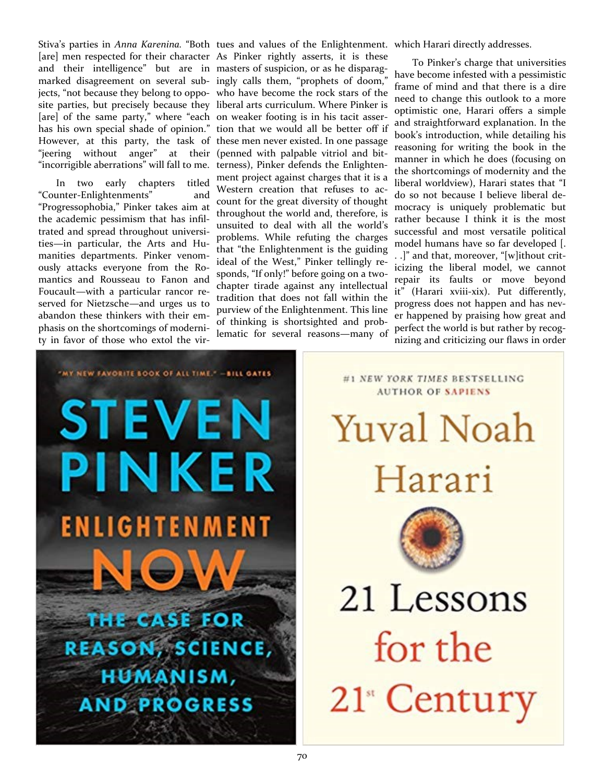Stiva's parties in *Anna Karenina.* "Both tues and values of the Enlightenment. which Harari directly addresses. [are] men respected for their character As Pinker rightly asserts, it is these and their intelligence" but are in masters of suspicion, or as he disparagmarked disagreement on several sub-ingly calls them, "prophets of doom," jects, "not because they belong to oppo-who have become the rock stars of the site parties, but precisely because they liberal arts curriculum. Where Pinker is [are] of the same party," where "each on weaker footing is in his tacit asserhas his own special shade of opinion." tion that we would all be better off if However, at this party, the task of these men never existed. In one passage "jeering without anger" at their (penned with palpable vitriol and bit-"incorrigible aberrations" will fall to me.

In two early chapters titled "Counter-Enlightenments" and "Progressophobia," Pinker takes aim at the academic pessimism that has infiltrated and spread throughout universities—in particular, the Arts and Humanities departments. Pinker venomously attacks everyone from the Romantics and Rousseau to Fanon and Foucault—with a particular rancor reserved for Nietzsche—and urges us to abandon these thinkers with their emphasis on the shortcomings of modernity in favor of those who extol the vir-

terness), Pinker defends the Enlightenment project against charges that it is a Western creation that refuses to account for the great diversity of thought throughout the world and, therefore, is unsuited to deal with all the world's problems. While refuting the charges that "the Enlightenment is the guiding ideal of the West," Pinker tellingly responds, "If only!" before going on a twochapter tirade against any intellectual tradition that does not fall within the purview of the Enlightenment. This line of thinking is shortsighted and problematic for several reasons—many of

To Pinker's charge that universities have become infested with a pessimistic frame of mind and that there is a dire need to change this outlook to a more optimistic one, Harari offers a simple and straightforward explanation. In the book's introduction, while detailing his reasoning for writing the book in the manner in which he does (focusing on the shortcomings of modernity and the liberal worldview), Harari states that "I do so not because I believe liberal democracy is uniquely problematic but rather because I think it is the most successful and most versatile political model humans have so far developed [. . .]" and that, moreover, "[w]ithout criticizing the liberal model, we cannot repair its faults or move beyond it" (Harari xviii-xix). Put differently, progress does not happen and has never happened by praising how great and perfect the world is but rather by recognizing and criticizing our flaws in order



**AUTHOR OF SAPIENS Yuval Noah** Harari

#1 NEW YORK TIMES BESTSELLING



21 Lessons for the 21<sup>"</sup> Century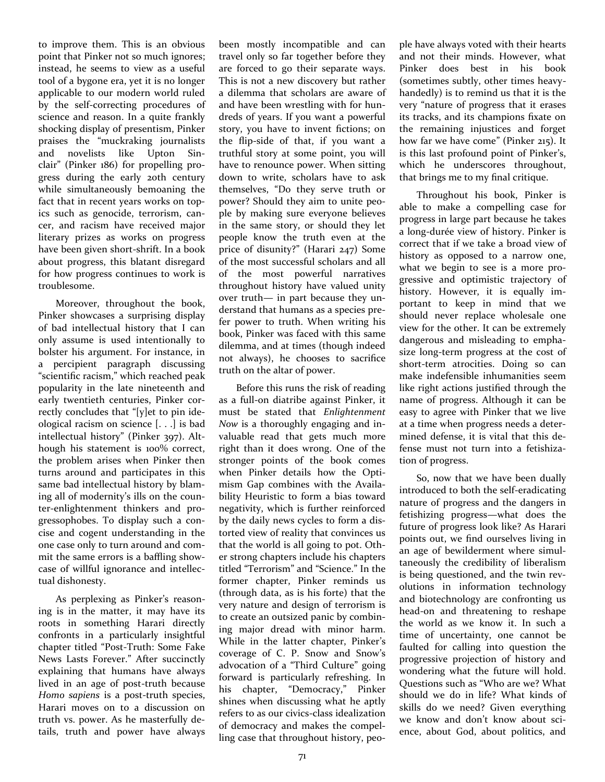to improve them. This is an obvious point that Pinker not so much ignores; instead, he seems to view as a useful tool of a bygone era, yet it is no longer applicable to our modern world ruled by the self-correcting procedures of science and reason. In a quite frankly shocking display of presentism, Pinker praises the "muckraking journalists and novelists like Upton Sinclair" (Pinker 186) for propelling progress during the early 20th century while simultaneously bemoaning the fact that in recent years works on topics such as genocide, terrorism, cancer, and racism have received major literary prizes as works on progress have been given short-shrift. In a book about progress, this blatant disregard for how progress continues to work is troublesome.

Moreover, throughout the book, Pinker showcases a surprising display of bad intellectual history that I can only assume is used intentionally to bolster his argument. For instance, in a percipient paragraph discussing "scientific racism," which reached peak popularity in the late nineteenth and early twentieth centuries, Pinker correctly concludes that "[y]et to pin ideological racism on science [. . .] is bad intellectual history" (Pinker 397). Although his statement is 100% correct, the problem arises when Pinker then turns around and participates in this same bad intellectual history by blaming all of modernity's ills on the counter-enlightenment thinkers and progressophobes. To display such a concise and cogent understanding in the one case only to turn around and commit the same errors is a baffling showcase of willful ignorance and intellectual dishonesty.

As perplexing as Pinker's reasoning is in the matter, it may have its roots in something Harari directly confronts in a particularly insightful chapter titled "Post-Truth: Some Fake News Lasts Forever." After succinctly explaining that humans have always lived in an age of post-truth because *Homo sapiens* is a post-truth species, Harari moves on to a discussion on truth vs. power. As he masterfully details, truth and power have always

been mostly incompatible and can travel only so far together before they are forced to go their separate ways. This is not a new discovery but rather a dilemma that scholars are aware of and have been wrestling with for hundreds of years. If you want a powerful story, you have to invent fictions; on the flip-side of that, if you want a truthful story at some point, you will have to renounce power. When sitting down to write, scholars have to ask themselves, "Do they serve truth or power? Should they aim to unite people by making sure everyone believes in the same story, or should they let people know the truth even at the price of disunity?" (Harari 247) Some of the most successful scholars and all of the most powerful narratives throughout history have valued unity over truth— in part because they understand that humans as a species prefer power to truth. When writing his book, Pinker was faced with this same dilemma, and at times (though indeed not always), he chooses to sacrifice truth on the altar of power.

Before this runs the risk of reading as a full-on diatribe against Pinker, it must be stated that *Enlightenment Now* is a thoroughly engaging and invaluable read that gets much more right than it does wrong. One of the stronger points of the book comes when Pinker details how the Optimism Gap combines with the Availability Heuristic to form a bias toward negativity, which is further reinforced by the daily news cycles to form a distorted view of reality that convinces us that the world is all going to pot. Other strong chapters include his chapters titled "Terrorism" and "Science." In the former chapter, Pinker reminds us (through data, as is his forte) that the very nature and design of terrorism is to create an outsized panic by combining major dread with minor harm. While in the latter chapter, Pinker's coverage of C. P. Snow and Snow's advocation of a "Third Culture" going forward is particularly refreshing. In his chapter, "Democracy," Pinker shines when discussing what he aptly refers to as our civics-class idealization of democracy and makes the compelling case that throughout history, people have always voted with their hearts and not their minds. However, what Pinker does best in his book (sometimes subtly, other times heavyhandedly) is to remind us that it is the very "nature of progress that it erases its tracks, and its champions fixate on the remaining injustices and forget how far we have come" (Pinker 215). It is this last profound point of Pinker's, which he underscores throughout, that brings me to my final critique.

Throughout his book, Pinker is able to make a compelling case for progress in large part because he takes a long-durée view of history. Pinker is correct that if we take a broad view of history as opposed to a narrow one, what we begin to see is a more progressive and optimistic trajectory of history. However, it is equally important to keep in mind that we should never replace wholesale one view for the other. It can be extremely dangerous and misleading to emphasize long-term progress at the cost of short-term atrocities. Doing so can make indefensible inhumanities seem like right actions justified through the name of progress. Although it can be easy to agree with Pinker that we live at a time when progress needs a determined defense, it is vital that this defense must not turn into a fetishization of progress.

So, now that we have been dually introduced to both the self-eradicating nature of progress and the dangers in fetishizing progress—what does the future of progress look like? As Harari points out, we find ourselves living in an age of bewilderment where simultaneously the credibility of liberalism is being questioned, and the twin revolutions in information technology and biotechnology are confronting us head-on and threatening to reshape the world as we know it. In such a time of uncertainty, one cannot be faulted for calling into question the progressive projection of history and wondering what the future will hold. Questions such as "Who are we? What should we do in life? What kinds of skills do we need? Given everything we know and don't know about science, about God, about politics, and